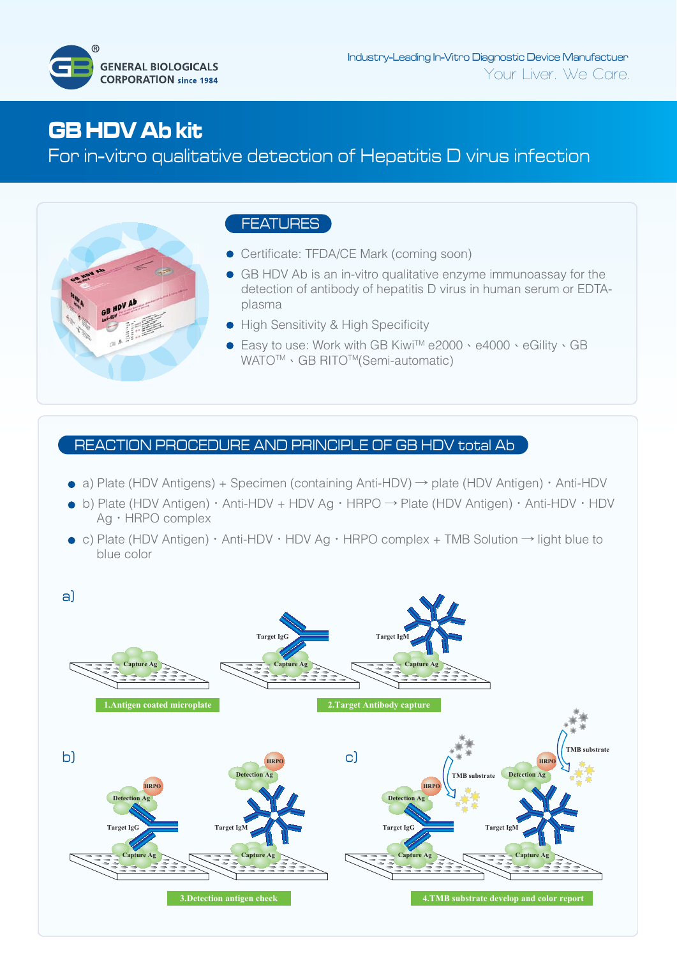

# **GB HDV Ab kit**

For in-vitro qualitative detection of Hepatitis D virus infection



# FEATURES

- **•** Certificate: TFDA/CE Mark (coming soon)
- GB HDV Ab is an in-vitro qualitative enzyme immunoassay for the detection of antibody of hepatitis D virus in human serum or EDTAplasma
- High Sensitivity & High Specificity
- Easy to use: Work with GB Kiwi™e2000、e4000、eGility、GB WATO<sup>™</sup> GB RITO™(Semi-automatic)

## REACTION PROCEDURE AND PRINCIPLE OF GB HDV total Ab

- a) Plate (HDV Antigens) + Specimen (containing Anti-HDV)  $\rightarrow$  plate (HDV Antigen)  $\cdot$  Anti-HDV
- b) Plate (HDV Antigen)‧Anti-HDV + HDV Ag‧HRPO → Plate (HDV Antigen)‧Anti-HDV‧HDV Ag‧HRPO complex
- c) Plate (HDV Antigen)‧Anti-HDV‧HDV Ag‧HRPO complex + TMB Solution → light blue to blue color